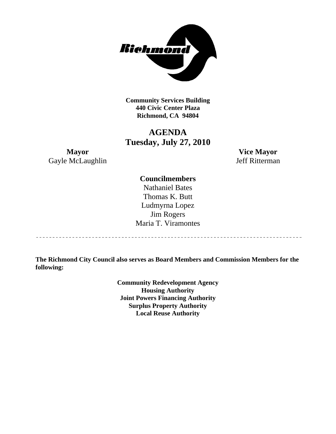

**Community Services Building 440 Civic Center Plaza Richmond, CA 94804** 

### **AGENDA Tuesday, July 27, 2010**

**Mayor Vice Mayor**  Gayle McLaughlin Jeff Ritterman

### **Councilmembers**

Nathaniel Bates Thomas K. Butt Ludmyrna Lopez Jim Rogers Maria T. Viramontes

**The Richmond City Council also serves as Board Members and Commission Members for the following:** 

> **Community Redevelopment Agency Housing Authority Joint Powers Financing Authority Surplus Property Authority Local Reuse Authority**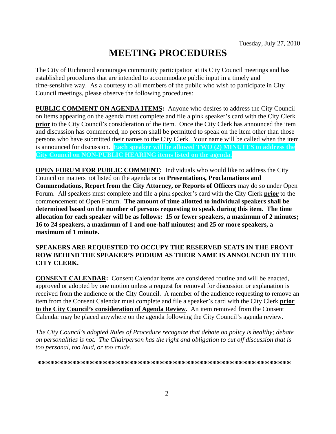# **MEETING PROCEDURES**

The City of Richmond encourages community participation at its City Council meetings and has established procedures that are intended to accommodate public input in a timely and time-sensitive way. As a courtesy to all members of the public who wish to participate in City Council meetings, please observe the following procedures:

**PUBLIC COMMENT ON AGENDA ITEMS:** Anyone who desires to address the City Council on items appearing on the agenda must complete and file a pink speaker's card with the City Clerk **prior** to the City Council's consideration of the item. Once the City Clerk has announced the item and discussion has commenced, no person shall be permitted to speak on the item other than those persons who have submitted their names to the City Clerk. Your name will be called when the item is announced for discussion. **Each speaker will be allowed TWO (2) MINUTES to address the City Council on NON-PUBLIC HEARING items listed on the agenda.** 

**OPEN FORUM FOR PUBLIC COMMENT:** Individuals who would like to address the City Council on matters not listed on the agenda or on **Presentations, Proclamations and Commendations, Report from the City Attorney, or Reports of Officers** may do so under Open Forum. All speakers must complete and file a pink speaker's card with the City Clerk **prior** to the commencement of Open Forum. **The amount of time allotted to individual speakers shall be determined based on the number of persons requesting to speak during this item. The time allocation for each speaker will be as follows: 15 or fewer speakers, a maximum of 2 minutes; 16 to 24 speakers, a maximum of 1 and one-half minutes; and 25 or more speakers, a maximum of 1 minute.** 

### **SPEAKERS ARE REQUESTED TO OCCUPY THE RESERVED SEATS IN THE FRONT ROW BEHIND THE SPEAKER'S PODIUM AS THEIR NAME IS ANNOUNCED BY THE CITY CLERK.**

**CONSENT CALENDAR:** Consent Calendar items are considered routine and will be enacted, approved or adopted by one motion unless a request for removal for discussion or explanation is received from the audience or the City Council. A member of the audience requesting to remove an item from the Consent Calendar must complete and file a speaker's card with the City Clerk **prior to the City Council's consideration of Agenda Review.** An item removed from the Consent Calendar may be placed anywhere on the agenda following the City Council's agenda review.

*The City Council's adopted Rules of Procedure recognize that debate on policy is healthy; debate on personalities is not. The Chairperson has the right and obligation to cut off discussion that is too personal, too loud, or too crude.* 

**\*\*\*\*\*\*\*\*\*\*\*\*\*\*\*\*\*\*\*\*\*\*\*\*\*\*\*\*\*\*\*\*\*\*\*\*\*\*\*\*\*\*\*\*\*\*\*\*\*\*\*\*\*\*\*\*\*\***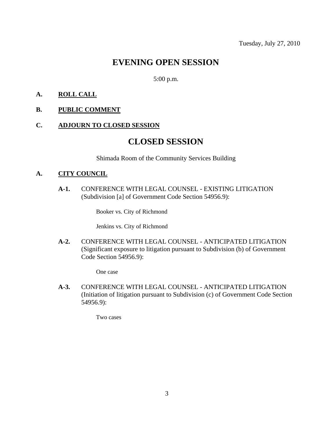# **EVENING OPEN SESSION**

5:00 p.m.

### **A. ROLL CALL**

### **B. PUBLIC COMMENT**

### **C. ADJOURN TO CLOSED SESSION**

### **CLOSED SESSION**

Shimada Room of the Community Services Building

### **A. CITY COUNCIL**

**A-1.** CONFERENCE WITH LEGAL COUNSEL - EXISTING LITIGATION (Subdivision [a] of Government Code Section 54956.9):

Booker vs. City of Richmond

Jenkins vs. City of Richmond

**A-2.** CONFERENCE WITH LEGAL COUNSEL - ANTICIPATED LITIGATION (Significant exposure to litigation pursuant to Subdivision (b) of Government Code Section 54956.9):

One case

**A-3.** CONFERENCE WITH LEGAL COUNSEL - ANTICIPATED LITIGATION (Initiation of litigation pursuant to Subdivision (c) of Government Code Section 54956.9):

Two cases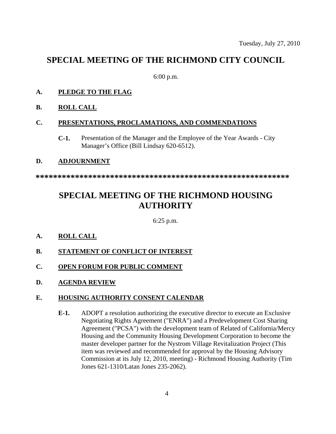## **SPECIAL MEETING OF THE RICHMOND CITY COUNCIL**

6:00 p.m.

### **A. PLEDGE TO THE FLAG**

**B. ROLL CALL**

### **C. PRESENTATIONS, PROCLAMATIONS, AND COMMENDATIONS**

**C-1.** Presentation of the Manager and the Employee of the Year Awards - City Manager's Office (Bill Lindsay 620-6512).

### **D. ADJOURNMENT**

**\*\*\*\*\*\*\*\*\*\*\*\*\*\*\*\*\*\*\*\*\*\*\*\*\*\*\*\*\*\*\*\*\*\*\*\*\*\*\*\*\*\*\*\*\*\*\*\*\*\*\*\*\*\*\*\*\*\*** 

# **SPECIAL MEETING OF THE RICHMOND HOUSING AUTHORITY**

6:25 p.m.

### **A. ROLL CALL**

- **B. STATEMENT OF CONFLICT OF INTEREST**
- **C. OPEN FORUM FOR PUBLIC COMMENT**
- **D. AGENDA REVIEW**

### **E. HOUSING AUTHORITY CONSENT CALENDAR**

**E-1.** ADOPT a resolution authorizing the executive director to execute an Exclusive Negotiating Rights Agreement ("ENRA") and a Predevelopment Cost Sharing Agreement ("PCSA") with the development team of Related of California/Mercy Housing and the Community Housing Development Corporation to become the master developer partner for the Nystrom Village Revitalization Project (This item was reviewed and recommended for approval by the Housing Advisory Commission at its July 12, 2010, meeting) - Richmond Housing Authority (Tim Jones 621-1310/Latan Jones 235-2062).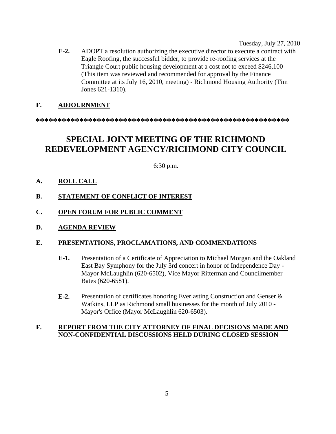Tuesday, July 27, 2010

**E-2.** ADOPT a resolution authorizing the executive director to execute a contract with Eagle Roofing, the successful bidder, to provide re-roofing services at the Triangle Court public housing development at a cost not to exceed \$246,100 (This item was reviewed and recommended for approval by the Finance Committee at its July 16, 2010, meeting) - Richmond Housing Authority (Tim Jones 621-1310).

### **F. ADJOURNMENT**

**\*\*\*\*\*\*\*\*\*\*\*\*\*\*\*\*\*\*\*\*\*\*\*\*\*\*\*\*\*\*\*\*\*\*\*\*\*\*\*\*\*\*\*\*\*\*\*\*\*\*\*\*\*\*\*\*\*\*** 

# **SPECIAL JOINT MEETING OF THE RICHMOND REDEVELOPMENT AGENCY/RICHMOND CITY COUNCIL**

6:30 p.m.

### **A. ROLL CALL**

### **B. STATEMENT OF CONFLICT OF INTEREST**

- **C. OPEN FORUM FOR PUBLIC COMMENT**
- **D. AGENDA REVIEW**

### **E. PRESENTATIONS, PROCLAMATIONS, AND COMMENDATIONS**

- **E-1.** Presentation of a Certificate of Appreciation to Michael Morgan and the Oakland East Bay Symphony for the July 3rd concert in honor of Independence Day - Mayor McLaughlin (620-6502), Vice Mayor Ritterman and Councilmember Bates (620-6581).
- **E-2.** Presentation of certificates honoring Everlasting Construction and Genser & Watkins, LLP as Richmond small businesses for the month of July 2010 - Mayor's Office (Mayor McLaughlin 620-6503).

### **F. REPORT FROM THE CITY ATTORNEY OF FINAL DECISIONS MADE AND NON-CONFIDENTIAL DISCUSSIONS HELD DURING CLOSED SESSION**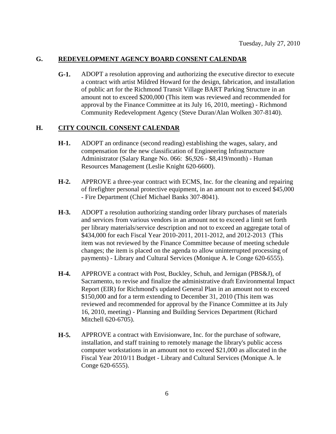#### **G. REDEVELOPMENT AGENCY BOARD CONSENT CALENDAR**

**G-1.** ADOPT a resolution approving and authorizing the executive director to execute a contract with artist Mildred Howard for the design, fabrication, and installation of public art for the Richmond Transit Village BART Parking Structure in an amount not to exceed \$200,000 (This item was reviewed and recommended for approval by the Finance Committee at its July 16, 2010, meeting) - Richmond Community Redevelopment Agency (Steve Duran/Alan Wolken 307-8140).

#### **H. CITY COUNCIL CONSENT CALENDAR**

- **H-1.** ADOPT an ordinance (second reading) establishing the wages, salary, and compensation for the new classification of Engineering Infrastructure Administrator (Salary Range No. 066: \$6,926 - \$8,419/month) - Human Resources Management (Leslie Knight 620-6600).
- **H-2.** APPROVE a three-year contract with ECMS, Inc. for the cleaning and repairing of firefighter personal protective equipment, in an amount not to exceed \$45,000 - Fire Department (Chief Michael Banks 307-8041).
- **H-3.** ADOPT a resolution authorizing standing order library purchases of materials and services from various vendors in an amount not to exceed a limit set forth per library materials/service description and not to exceed an aggregate total of \$434,000 for each Fiscal Year 2010-2011, 2011-2012, and 2012-2013 (This item was not reviewed by the Finance Committee because of meeting schedule changes; the item is placed on the agenda to allow uninterrupted processing of payments) - Library and Cultural Services (Monique A. le Conge 620-6555).
- **H-4.** APPROVE a contract with Post, Buckley, Schuh, and Jernigan (PBS&J), of Sacramento, to revise and finalize the administrative draft Environmental Impact Report (EIR) for Richmond's updated General Plan in an amount not to exceed \$150,000 and for a term extending to December 31, 2010 (This item was reviewed and recommended for approval by the Finance Committee at its July 16, 2010, meeting) - Planning and Building Services Department (Richard Mitchell 620-6705).
- **H-5.** APPROVE a contract with Envisionware, Inc. for the purchase of software, installation, and staff training to remotely manage the library's public access computer workstations in an amount not to exceed \$21,000 as allocated in the Fiscal Year 2010/11 Budget - Library and Cultural Services (Monique A. le Conge 620-6555).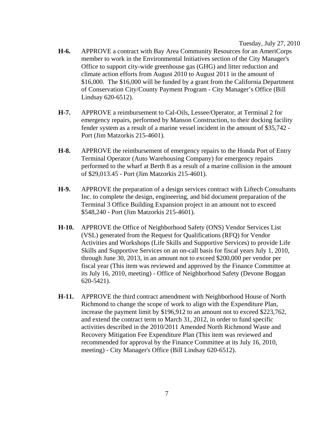Tuesday, July 27, 2010

- **H-6.** APPROVE a contract with Bay Area Community Resources for an AmeriCorps member to work in the Environmental Initiatives section of the City Manager's Office to support city-wide greenhouse gas (GHG) and litter reduction and climate action efforts from August 2010 to August 2011 in the amount of \$16,000. The \$16,000 will be funded by a grant from the California Department of Conservation City/County Payment Program - City Manager's Office (Bill Lindsay 620-6512).
- **H-7.** APPROVE a reimbursement to Cal-Oils, Lessee/Operator, at Terminal 2 for emergency repairs, performed by Manson Construction, to their docking facility fender system as a result of a marine vessel incident in the amount of \$35,742 - Port (Jim Matzorkis 215-4601).
- **H-8.** APPROVE the reimbursement of emergency repairs to the Honda Port of Entry Terminal Operator (Auto Warehousing Company) for emergency repairs performed to the wharf at Berth 8 as a result of a marine collision in the amount of \$29,013.45 - Port (Jim Matzorkis 215-4601).
- **H-9.** APPROVE the preparation of a design services contract with Liftech Consultants Inc. to complete the design, engineering, and bid document preparation of the Terminal 3 Office Building Expansion project in an amount not to exceed \$548,240 - Port (Jim Matzorkis 215-4601).
- **H-10.** APPROVE the Office of Neighborhood Safety (ONS) Vendor Services List (VSL) generated from the Request for Qualifications (RFQ) for Vendor Activities and Workshops (Life Skills and Supportive Services) to provide Life Skills and Supportive Services on an on-call basis for fiscal years July 1, 2010, through June 30, 2013, in an amount not to exceed \$200,000 per vendor per fiscal year (This item was reviewed and approved by the Finance Committee at its July 16, 2010, meeting) - Office of Neighborhood Safety (Devone Boggan 620-5421).
- **H-11.** APPROVE the third contract amendment with Neighborhood House of North Richmond to change the scope of work to align with the Expenditure Plan, increase the payment limit by \$196,912 to an amount not to exceed \$223,762, and extend the contract term to March 31, 2012, in order to fund specific activities described in the 2010/2011 Amended North Richmond Waste and Recovery Mitigation Fee Expenditure Plan (This item was reviewed and recommended for approval by the Finance Committee at its July 16, 2010, meeting) - City Manager's Office (Bill Lindsay 620-6512).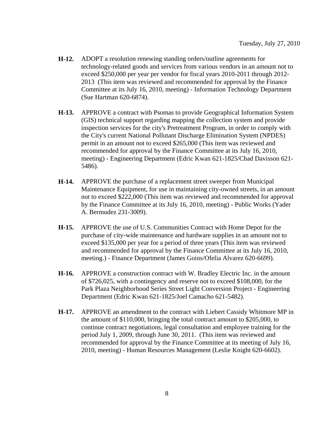- **H-12.** ADOPT a resolution renewing standing orders/outline agreements for technology-related goods and services from various vendors in an amount not to exceed \$250,000 per year per vendor for fiscal years 2010-2011 through 2012- 2013 (This item was reviewed and recommended for approval by the Finance Committee at its July 16, 2010, meeting) - Information Technology Department (Sue Hartman 620-6874).
- **H-13.** APPROVE a contract with Psomas to provide Geographical Information System (GIS) technical support regarding mapping the collection system and provide inspection services for the city's Pretreatment Program, in order to comply with the City's current National Pollutant Discharge Elimination System (NPDES) permit in an amount not to exceed \$265,000 (This item was reviewed and recommended for approval by the Finance Committee at its July 16, 2010, meeting) - Engineering Department (Edric Kwan 621-1825/Chad Davisson 621- 5486).
- **H-14.** APPROVE the purchase of a replacement street sweeper from Municipal Maintenance Equipment, for use in maintaining city-owned streets, in an amount not to exceed \$222,000 (This item was reviewed and recommended for approval by the Finance Committee at its July 16, 2010, meeting) - Public Works (Yader A. Bermudez 231-3009).
- **H-15.** APPROVE the use of U.S. Communities Contract with Home Depot for the purchase of city-wide maintenance and hardware supplies in an amount not to exceed \$135,000 per year for a period of three years (This item was reviewed and recommended for approval by the Finance Committee at its July 16, 2010, meeting.) - Finance Department (James Goins/Ofelia Alvarez 620-6699).
- **H-16.** APPROVE a construction contract with W. Bradley Electric Inc. in the amount of \$726,025, with a contingency and reserve not to exceed \$108,000, for the Park Plaza Neighborhood Series Street Light Conversion Project - Engineering Department (Edric Kwan 621-1825/Joel Camacho 621-5482).
- **H-17.** APPROVE an amendment to the contract with Liebert Cassidy Whitmore MP in the amount of \$110,000, bringing the total contract amount to \$205,000, to continue contract negotiations, legal consultation and employee training for the period July 1, 2009, through June 30, 2011. (This item was reviewed and recommended for approval by the Finance Committee at its meeting of July 16, 2010, meeting) - Human Resources Management (Leslie Knight 620-6602).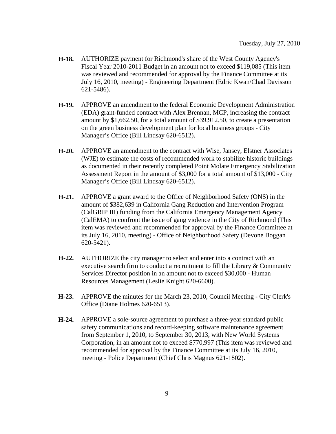- **H-18.** AUTHORIZE payment for Richmond's share of the West County Agency's Fiscal Year 2010-2011 Budget in an amount not to exceed \$119,085 (This item was reviewed and recommended for approval by the Finance Committee at its July 16, 2010, meeting) - Engineering Department (Edric Kwan/Chad Davisson 621-5486).
- **H-19.** APPROVE an amendment to the federal Economic Development Administration (EDA) grant-funded contract with Alex Brennan, MCP, increasing the contract amount by \$1,662.50, for a total amount of \$39,912.50, to create a presentation on the green business development plan for local business groups - City Manager's Office (Bill Lindsay 620-6512).
- **H-20.** APPROVE an amendment to the contract with Wise, Jansey, Elstner Associates (WJE) to estimate the costs of recommended work to stabilize historic buildings as documented in their recently completed Point Molate Emergency Stabilization Assessment Report in the amount of \$3,000 for a total amount of \$13,000 - City Manager's Office (Bill Lindsay 620-6512).
- **H-21.** APPROVE a grant award to the Office of Neighborhood Safety (ONS) in the amount of \$382,639 in California Gang Reduction and Intervention Program (CalGRIP III) funding from the California Emergency Management Agency (CalEMA) to confront the issue of gang violence in the City of Richmond (This item was reviewed and recommended for approval by the Finance Committee at its July 16, 2010, meeting) - Office of Neighborhood Safety (Devone Boggan 620-5421).
- **H-22.** AUTHORIZE the city manager to select and enter into a contract with an executive search firm to conduct a recruitment to fill the Library & Community Services Director position in an amount not to exceed \$30,000 - Human Resources Management (Leslie Knight 620-6600).
- **H-23.** APPROVE the minutes for the March 23, 2010, Council Meeting City Clerk's Office (Diane Holmes 620-6513).
- **H-24.** APPROVE a sole-source agreement to purchase a three-year standard public safety communications and record-keeping software maintenance agreement from September 1, 2010, to September 30, 2013, with New World Systems Corporation, in an amount not to exceed \$770,997 (This item was reviewed and recommended for approval by the Finance Committee at its July 16, 2010, meeting - Police Department (Chief Chris Magnus 621-1802).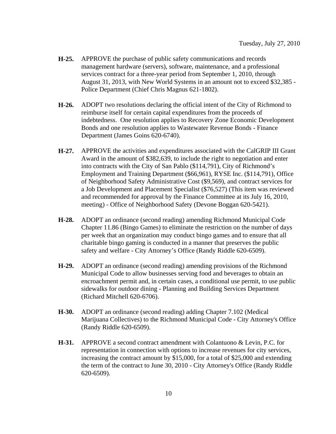- **H-25.** APPROVE the purchase of public safety communications and records management hardware (servers), software, maintenance, and a professional services contract for a three-year period from September 1, 2010, through August 31, 2013, with New World Systems in an amount not to exceed \$32,385 - Police Department (Chief Chris Magnus 621-1802).
- **H-26.** ADOPT two resolutions declaring the official intent of the City of Richmond to reimburse itself for certain capital expenditures from the proceeds of indebtedness. One resolution applies to Recovery Zone Economic Development Bonds and one resolution applies to Wastewater Revenue Bonds - Finance Department (James Goins 620-6740).
- **H-27.** APPROVE the activities and expenditures associated with the CalGRIP III Grant Award in the amount of \$382,639, to include the right to negotiation and enter into contracts with the City of San Pablo (\$114,791), City of Richmond's Employment and Training Department (\$66,961), RYSE Inc. (\$114,791), Office of Neighborhood Safety Administrative Cost (\$9,569), and contract services for a Job Development and Placement Specialist (\$76,527) (This item was reviewed and recommended for approval by the Finance Committee at its July 16, 2010, meeting) - Office of Neighborhood Safety (Devone Boggan 620-5421).
- **H-28.** ADOPT an ordinance (second reading) amending Richmond Municipal Code Chapter 11.86 (Bingo Games) to eliminate the restriction on the number of days per week that an organization may conduct bingo games and to ensure that all charitable bingo gaming is conducted in a manner that preserves the public safety and welfare - City Attorney's Office (Randy Riddle 620-6509).
- **H-29.** ADOPT an ordinance (second reading) amending provisions of the Richmond Municipal Code to allow businesses serving food and beverages to obtain an encroachment permit and, in certain cases, a conditional use permit, to use public sidewalks for outdoor dining - Planning and Building Services Department (Richard Mitchell 620-6706).
- **H-30.** ADOPT an ordinance (second reading) adding Chapter 7.102 (Medical Marijuana Collectives) to the Richmond Municipal Code - City Attorney's Office (Randy Riddle 620-6509).
- **H-31.** APPROVE a second contract amendment with Colantuono & Levin, P.C. for representation in connection with options to increase revenues for city services, increasing the contract amount by \$15,000, for a total of \$25,000 and extending the term of the contract to June 30, 2010 - City Attorney's Office (Randy Riddle 620-6509).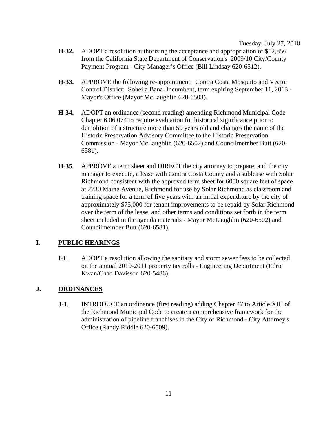Tuesday, July 27, 2010

- **H-32.** ADOPT a resolution authorizing the acceptance and appropriation of \$12,856 from the California State Department of Conservation's 2009/10 City/County Payment Program - City Manager's Office (Bill Lindsay 620-6512).
- **H-33.** APPROVE the following re-appointment: Contra Costa Mosquito and Vector Control District: Soheila Bana, Incumbent, term expiring September 11, 2013 - Mayor's Office (Mayor McLaughlin 620-6503).
- **H-34.** ADOPT an ordinance (second reading) amending Richmond Municipal Code Chapter 6.06.074 to require evaluation for historical significance prior to demolition of a structure more than 50 years old and changes the name of the Historic Preservation Advisory Committee to the Historic Preservation Commission - Mayor McLaughlin (620-6502) and Councilmember Butt (620- 6581).
- **H-35.** APPROVE a term sheet and DIRECT the city attorney to prepare, and the city manager to execute, a lease with Contra Costa County and a sublease with Solar Richmond consistent with the approved term sheet for 6000 square feet of space at 2730 Maine Avenue, Richmond for use by Solar Richmond as classroom and training space for a term of five years with an initial expenditure by the city of approximately \$75,000 for tenant improvements to be repaid by Solar Richmond over the term of the lease, and other terms and conditions set forth in the term sheet included in the agenda materials - Mayor McLaughlin (620-6502) and Councilmember Butt (620-6581).

### **I. PUBLIC HEARINGS**

**I-1.** ADOPT a resolution allowing the sanitary and storm sewer fees to be collected on the annual 2010-2011 property tax rolls - Engineering Department (Edric Kwan/Chad Davisson 620-5486).

### **J. ORDINANCES**

**J-1.** INTRODUCE an ordinance (first reading) adding Chapter 47 to Article XIII of the Richmond Municipal Code to create a comprehensive framework for the administration of pipeline franchises in the City of Richmond - City Attorney's Office (Randy Riddle 620-6509).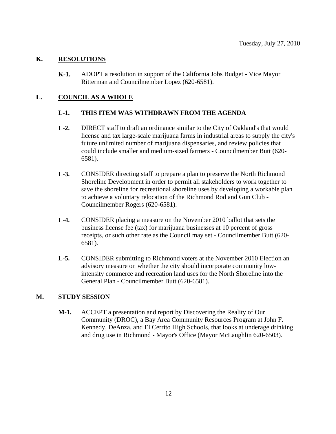### **K. RESOLUTIONS**

**K-1.** ADOPT a resolution in support of the California Jobs Budget - Vice Mayor Ritterman and Councilmember Lopez (620-6581).

### **L. COUNCIL AS A WHOLE**

#### **L-1. THIS ITEM WAS WITHDRAWN FROM THE AGENDA**

- **L-2.** DIRECT staff to draft an ordinance similar to the City of Oakland's that would license and tax large-scale marijuana farms in industrial areas to supply the city's future unlimited number of marijuana dispensaries, and review policies that could include smaller and medium-sized farmers - Councilmember Butt (620- 6581).
- **L-3.** CONSIDER directing staff to prepare a plan to preserve the North Richmond Shoreline Development in order to permit all stakeholders to work together to save the shoreline for recreational shoreline uses by developing a workable plan to achieve a voluntary relocation of the Richmond Rod and Gun Club - Councilmember Rogers (620-6581).
- **L-4.** CONSIDER placing a measure on the November 2010 ballot that sets the business license fee (tax) for marijuana businesses at 10 percent of gross receipts, or such other rate as the Council may set - Councilmember Butt (620- 6581).
- **L-5.** CONSIDER submitting to Richmond voters at the November 2010 Election an advisory measure on whether the city should incorporate community lowintensity commerce and recreation land uses for the North Shoreline into the General Plan - Councilmember Butt (620-6581).

### **M. STUDY SESSION**

**M-1.** ACCEPT a presentation and report by Discovering the Reality of Our Community (DROC), a Bay Area Community Resources Program at John F. Kennedy, DeAnza, and El Cerrito High Schools, that looks at underage drinking and drug use in Richmond - Mayor's Office (Mayor McLaughlin 620-6503).